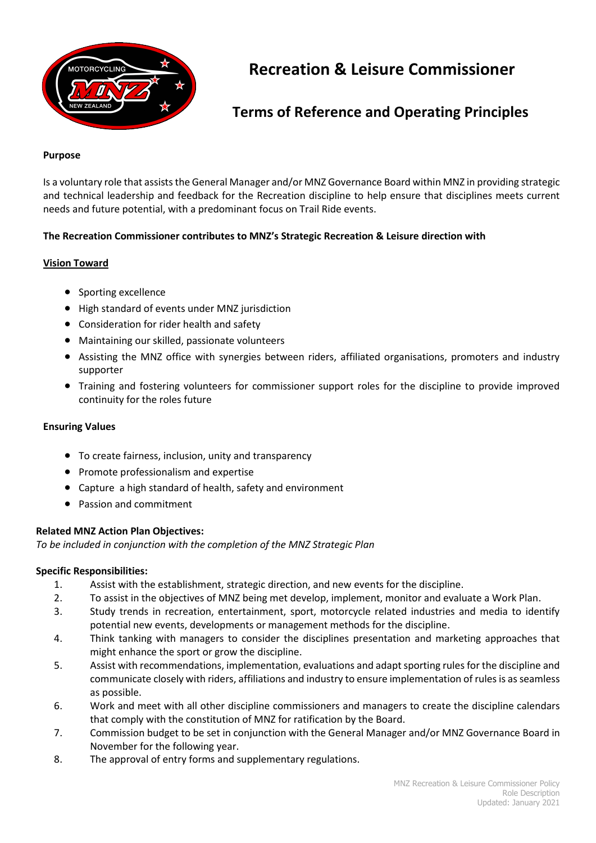

# **Recreation & Leisure Commissioner**

## **Terms of Reference and Operating Principles**

#### **Purpose**

Is a voluntary role that assists the General Manager and/or MNZ Governance Board within MNZ in providing strategic and technical leadership and feedback for the Recreation discipline to help ensure that disciplines meets current needs and future potential, with a predominant focus on Trail Ride events.

## **The Recreation Commissioner contributes to MNZ's Strategic Recreation & Leisure direction with**

### **Vision Toward**

- Sporting excellence
- High standard of events under MNZ jurisdiction
- Consideration for rider health and safety
- Maintaining our skilled, passionate volunteers
- Assisting the MNZ office with synergies between riders, affiliated organisations, promoters and industry supporter
- Training and fostering volunteers for commissioner support roles for the discipline to provide improved continuity for the roles future

#### **Ensuring Values**

- To create fairness, inclusion, unity and transparency
- Promote professionalism and expertise
- Capture a high standard of health, safety and environment
- Passion and commitment

### **Related MNZ Action Plan Objectives:**

*To be included in conjunction with the completion of the MNZ Strategic Plan*

### **Specific Responsibilities:**

- 1. Assist with the establishment, strategic direction, and new events for the discipline.
- 2. To assist in the objectives of MNZ being met develop, implement, monitor and evaluate a Work Plan.
- 3. Study trends in recreation, entertainment, sport, motorcycle related industries and media to identify potential new events, developments or management methods for the discipline.
- 4. Think tanking with managers to consider the disciplines presentation and marketing approaches that might enhance the sport or grow the discipline.
- 5. Assist with recommendations, implementation, evaluations and adapt sporting rules for the discipline and communicate closely with riders, affiliations and industry to ensure implementation of rules is as seamless as possible.
- 6. Work and meet with all other discipline commissioners and managers to create the discipline calendars that comply with the constitution of MNZ for ratification by the Board.
- 7. Commission budget to be set in conjunction with the General Manager and/or MNZ Governance Board in November for the following year.
- 8. The approval of entry forms and supplementary regulations.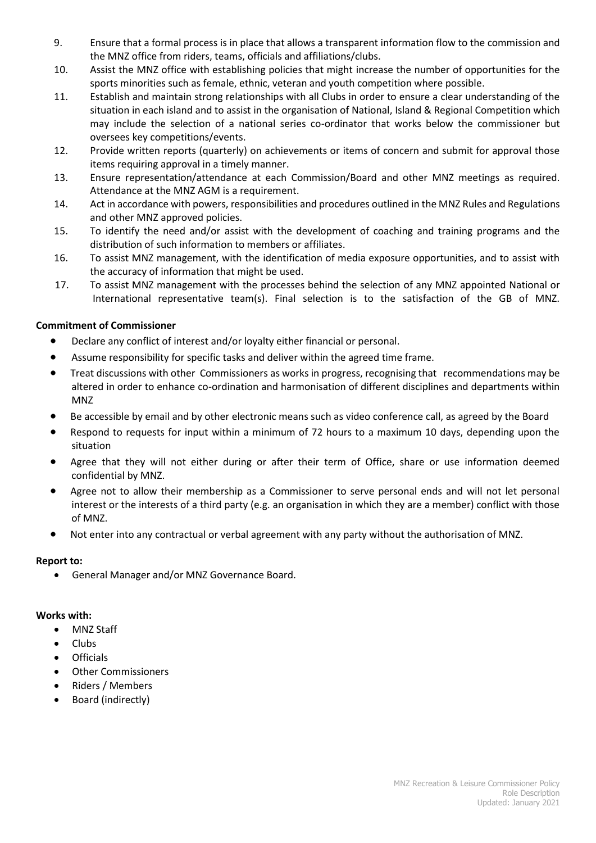- 9. Ensure that a formal process is in place that allows a transparent information flow to the commission and the MNZ office from riders, teams, officials and affiliations/clubs.
- 10. Assist the MNZ office with establishing policies that might increase the number of opportunities for the sports minorities such as female, ethnic, veteran and youth competition where possible.
- 11. Establish and maintain strong relationships with all Clubs in order to ensure a clear understanding of the situation in each island and to assist in the organisation of National, Island & Regional Competition which may include the selection of a national series co-ordinator that works below the commissioner but oversees key competitions/events.
- 12. Provide written reports (quarterly) on achievements or items of concern and submit for approval those items requiring approval in a timely manner.
- 13. Ensure representation/attendance at each Commission/Board and other MNZ meetings as required. Attendance at the MNZ AGM is a requirement.
- 14. Act in accordance with powers, responsibilities and procedures outlined in the MNZ Rules and Regulations and other MNZ approved policies.
- 15. To identify the need and/or assist with the development of coaching and training programs and the distribution of such information to members or affiliates.
- 16. To assist MNZ management, with the identification of media exposure opportunities, and to assist with the accuracy of information that might be used.
- 17. To assist MNZ management with the processes behind the selection of any MNZ appointed National or International representative team(s). Final selection is to the satisfaction of the GB of MNZ.

## **Commitment of Commissioner**

- Declare any conflict of interest and/or loyalty either financial or personal.
- Assume responsibility for specific tasks and deliver within the agreed time frame.
- Treat discussions with other Commissioners as works in progress, recognising that recommendations may be altered in order to enhance co-ordination and harmonisation of different disciplines and departments within MNZ
- Be accessible by email and by other electronic means such as video conference call, as agreed by the Board
- Respond to requests for input within a minimum of 72 hours to a maximum 10 days, depending upon the situation
- Agree that they will not either during or after their term of Office, share or use information deemed confidential by MNZ.
- Agree not to allow their membership as a Commissioner to serve personal ends and will not let personal interest or the interests of a third party (e.g. an organisation in which they are a member) conflict with those of MNZ.
- Not enter into any contractual or verbal agreement with any party without the authorisation of MNZ.

## **Report to:**

General Manager and/or MNZ Governance Board.

## **Works with:**

- MNZ Staff
- Clubs
- Officials
- Other Commissioners
- Riders / Members
- Board (indirectly)